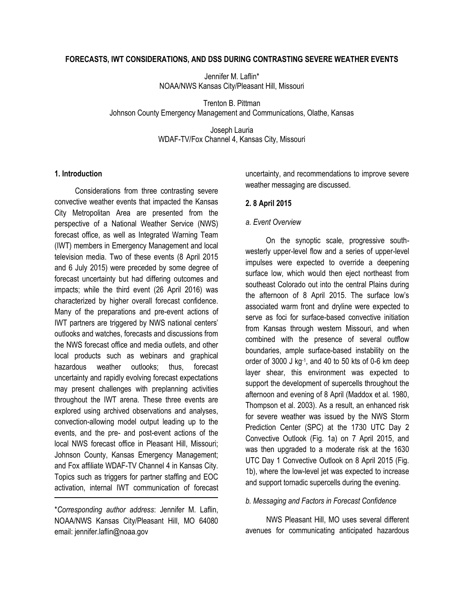#### **FORECASTS, IWT CONSIDERATIONS, AND DSS DURING CONTRASTING SEVERE WEATHER EVENTS**

Jennifer M. Laflin\* NOAA/NWS Kansas City/Pleasant Hill, Missouri

Trenton B. Pittman Johnson County Emergency Management and Communications, Olathe, Kansas

> Joseph Lauria WDAF-TV/Fox Channel 4, Kansas City, Missouri

#### **1. Introduction**

Considerations from three contrasting severe convective weather events that impacted the Kansas City Metropolitan Area are presented from the perspective of a National Weather Service (NWS) forecast office, as well as Integrated Warning Team (IWT) members in Emergency Management and local television media. Two of these events (8 April 2015 and 6 July 2015) were preceded by some degree of forecast uncertainty but had differing outcomes and impacts; while the third event (26 April 2016) was characterized by higher overall forecast confidence. Many of the preparations and pre-event actions of IWT partners are triggered by NWS national centers' outlooks and watches, forecasts and discussions from the NWS forecast office and media outlets, and other local products such as webinars and graphical hazardous weather outlooks; thus, forecast uncertainty and rapidly evolving forecast expectations may present challenges with preplanning activities throughout the IWT arena. These three events are explored using archived observations and analyses, convection-allowing model output leading up to the events, and the pre- and post-event actions of the local NWS forecast office in Pleasant Hill, Missouri; Johnson County, Kansas Emergency Management; and Fox affiliate WDAF-TV Channel 4 in Kansas City. Topics such as triggers for partner staffing and EOC activation, internal IWT communication of forecast uncertainty, and recommendations to improve severe weather messaging are discussed.

#### **2. 8 April 2015**

#### *a. Event Overview*

On the synoptic scale, progressive southwesterly upper-level flow and a series of upper-level impulses were expected to override a deepening surface low, which would then eject northeast from southeast Colorado out into the central Plains during the afternoon of 8 April 2015. The surface low's associated warm front and dryline were expected to serve as foci for surface-based convective initiation from Kansas through western Missouri, and when combined with the presence of several outflow boundaries, ample surface-based instability on the order of 3000 J kg-1 , and 40 to 50 kts of 0-6 km deep layer shear, this environment was expected to support the development of supercells throughout the afternoon and evening of 8 April (Maddox et al. 1980, Thompson et al. 2003). As a result, an enhanced risk for severe weather was issued by the NWS Storm Prediction Center (SPC) at the 1730 UTC Day 2 Convective Outlook (Fig. 1a) on 7 April 2015, and was then upgraded to a moderate risk at the 1630 UTC Day 1 Convective Outlook on 8 April 2015 (Fig. 1b), where the low-level jet was expected to increase and support tornadic supercells during the evening.

#### *b. Messaging and Factors in Forecast Confidence*

NWS Pleasant Hill, MO uses several different avenues for communicating anticipated hazardous

<sup>\*</sup>*Corresponding author address*: Jennifer M. Laflin, NOAA/NWS Kansas City/Pleasant Hill, MO 64080 email: jennifer.laflin@noaa.gov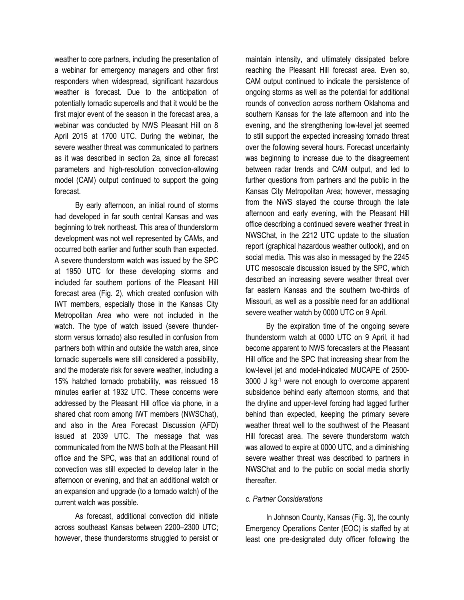weather to core partners, including the presentation of a webinar for emergency managers and other first responders when widespread, significant hazardous weather is forecast. Due to the anticipation of potentially tornadic supercells and that it would be the first major event of the season in the forecast area, a webinar was conducted by NWS Pleasant Hill on 8 April 2015 at 1700 UTC. During the webinar, the severe weather threat was communicated to partners as it was described in section 2a, since all forecast parameters and high-resolution convection-allowing model (CAM) output continued to support the going forecast.

By early afternoon, an initial round of storms had developed in far south central Kansas and was beginning to trek northeast. This area of thunderstorm development was not well represented by CAMs, and occurred both earlier and further south than expected. A severe thunderstorm watch was issued by the SPC at 1950 UTC for these developing storms and included far southern portions of the Pleasant Hill forecast area (Fig. 2), which created confusion with IWT members, especially those in the Kansas City Metropolitan Area who were not included in the watch. The type of watch issued (severe thunderstorm versus tornado) also resulted in confusion from partners both within and outside the watch area, since tornadic supercells were still considered a possibility, and the moderate risk for severe weather, including a 15% hatched tornado probability, was reissued 18 minutes earlier at 1932 UTC. These concerns were addressed by the Pleasant Hill office via phone, in a shared chat room among IWT members (NWSChat), and also in the Area Forecast Discussion (AFD) issued at 2039 UTC. The message that was communicated from the NWS both at the Pleasant Hill office and the SPC, was that an additional round of convection was still expected to develop later in the afternoon or evening, and that an additional watch or an expansion and upgrade (to a tornado watch) of the current watch was possible.

As forecast, additional convection did initiate across southeast Kansas between 2200–2300 UTC; however, these thunderstorms struggled to persist or maintain intensity, and ultimately dissipated before reaching the Pleasant Hill forecast area. Even so, CAM output continued to indicate the persistence of ongoing storms as well as the potential for additional rounds of convection across northern Oklahoma and southern Kansas for the late afternoon and into the evening, and the strengthening low-level jet seemed to still support the expected increasing tornado threat over the following several hours. Forecast uncertainty was beginning to increase due to the disagreement between radar trends and CAM output, and led to further questions from partners and the public in the Kansas City Metropolitan Area; however, messaging from the NWS stayed the course through the late afternoon and early evening, with the Pleasant Hill office describing a continued severe weather threat in NWSChat, in the 2212 UTC update to the situation report (graphical hazardous weather outlook), and on social media. This was also in messaged by the 2245 UTC mesoscale discussion issued by the SPC, which described an increasing severe weather threat over far eastern Kansas and the southern two-thirds of Missouri, as well as a possible need for an additional severe weather watch by 0000 UTC on 9 April.

By the expiration time of the ongoing severe thunderstorm watch at 0000 UTC on 9 April, it had become apparent to NWS forecasters at the Pleasant Hill office and the SPC that increasing shear from the low-level jet and model-indicated MUCAPE of 2500- 3000 J kg-1 were not enough to overcome apparent subsidence behind early afternoon storms, and that the dryline and upper-level forcing had lagged further behind than expected, keeping the primary severe weather threat well to the southwest of the Pleasant Hill forecast area. The severe thunderstorm watch was allowed to expire at 0000 UTC, and a diminishing severe weather threat was described to partners in NWSChat and to the public on social media shortly thereafter.

# *c. Partner Considerations*

In Johnson County, Kansas (Fig. 3), the county Emergency Operations Center (EOC) is staffed by at least one pre-designated duty officer following the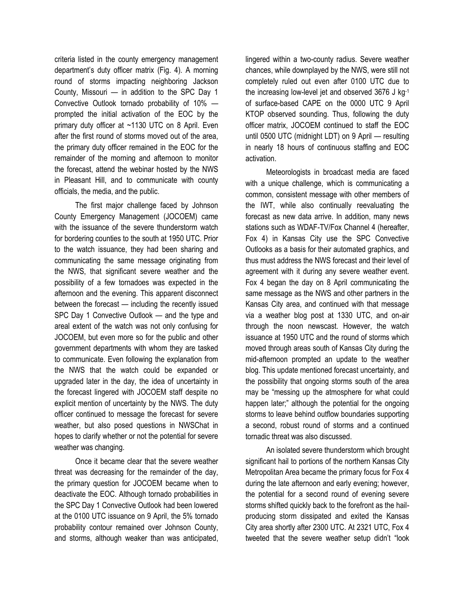criteria listed in the county emergency management department's duty officer matrix (Fig. 4). A morning round of storms impacting neighboring Jackson County, Missouri — in addition to the SPC Day 1 Convective Outlook tornado probability of 10% prompted the initial activation of the EOC by the primary duty officer at ~1130 UTC on 8 April. Even after the first round of storms moved out of the area, the primary duty officer remained in the EOC for the remainder of the morning and afternoon to monitor the forecast, attend the webinar hosted by the NWS in Pleasant Hill, and to communicate with county officials, the media, and the public.

The first major challenge faced by Johnson County Emergency Management (JOCOEM) came with the issuance of the severe thunderstorm watch for bordering counties to the south at 1950 UTC. Prior to the watch issuance, they had been sharing and communicating the same message originating from the NWS, that significant severe weather and the possibility of a few tornadoes was expected in the afternoon and the evening. This apparent disconnect between the forecast — including the recently issued SPC Day 1 Convective Outlook — and the type and areal extent of the watch was not only confusing for JOCOEM, but even more so for the public and other government departments with whom they are tasked to communicate. Even following the explanation from the NWS that the watch could be expanded or upgraded later in the day, the idea of uncertainty in the forecast lingered with JOCOEM staff despite no explicit mention of uncertainty by the NWS. The duty officer continued to message the forecast for severe weather, but also posed questions in NWSChat in hopes to clarify whether or not the potential for severe weather was changing.

Once it became clear that the severe weather threat was decreasing for the remainder of the day, the primary question for JOCOEM became when to deactivate the EOC. Although tornado probabilities in the SPC Day 1 Convective Outlook had been lowered at the 0100 UTC issuance on 9 April, the 5% tornado probability contour remained over Johnson County, and storms, although weaker than was anticipated, lingered within a two-county radius. Severe weather chances, while downplayed by the NWS, were still not completely ruled out even after 0100 UTC due to the increasing low-level jet and observed 3676 J kg-1 of surface-based CAPE on the 0000 UTC 9 April KTOP observed sounding. Thus, following the duty officer matrix, JOCOEM continued to staff the EOC until 0500 UTC (midnight LDT) on 9 April — resulting in nearly 18 hours of continuous staffing and EOC activation.

Meteorologists in broadcast media are faced with a unique challenge, which is communicating a common, consistent message with other members of the IWT, while also continually reevaluating the forecast as new data arrive. In addition, many news stations such as WDAF-TV/Fox Channel 4 (hereafter, Fox 4) in Kansas City use the SPC Convective Outlooks as a basis for their automated graphics, and thus must address the NWS forecast and their level of agreement with it during any severe weather event. Fox 4 began the day on 8 April communicating the same message as the NWS and other partners in the Kansas City area, and continued with that message via a weather blog post at 1330 UTC, and on-air through the noon newscast. However, the watch issuance at 1950 UTC and the round of storms which moved through areas south of Kansas City during the mid-afternoon prompted an update to the weather blog. This update mentioned forecast uncertainty, and the possibility that ongoing storms south of the area may be "messing up the atmosphere for what could happen later;" although the potential for the ongoing storms to leave behind outflow boundaries supporting a second, robust round of storms and a continued tornadic threat was also discussed.

An isolated severe thunderstorm which brought significant hail to portions of the northern Kansas City Metropolitan Area became the primary focus for Fox 4 during the late afternoon and early evening; however, the potential for a second round of evening severe storms shifted quickly back to the forefront as the hailproducing storm dissipated and exited the Kansas City area shortly after 2300 UTC. At 2321 UTC, Fox 4 tweeted that the severe weather setup didn't "look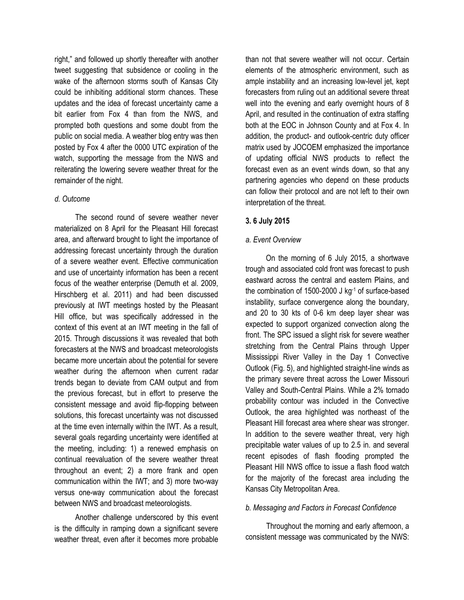right," and followed up shortly thereafter with another tweet suggesting that subsidence or cooling in the wake of the afternoon storms south of Kansas City could be inhibiting additional storm chances. These updates and the idea of forecast uncertainty came a bit earlier from Fox 4 than from the NWS, and prompted both questions and some doubt from the public on social media. A weather blog entry was then posted by Fox 4 after the 0000 UTC expiration of the watch, supporting the message from the NWS and reiterating the lowering severe weather threat for the remainder of the night.

## *d. Outcome*

The second round of severe weather never materialized on 8 April for the Pleasant Hill forecast area, and afterward brought to light the importance of addressing forecast uncertainty through the duration of a severe weather event. Effective communication and use of uncertainty information has been a recent focus of the weather enterprise (Demuth et al. 2009, Hirschberg et al. 2011) and had been discussed previously at IWT meetings hosted by the Pleasant Hill office, but was specifically addressed in the context of this event at an IWT meeting in the fall of 2015. Through discussions it was revealed that both forecasters at the NWS and broadcast meteorologists became more uncertain about the potential for severe weather during the afternoon when current radar trends began to deviate from CAM output and from the previous forecast, but in effort to preserve the consistent message and avoid flip-flopping between solutions, this forecast uncertainty was not discussed at the time even internally within the IWT. As a result, several goals regarding uncertainty were identified at the meeting, including: 1) a renewed emphasis on continual reevaluation of the severe weather threat throughout an event; 2) a more frank and open communication within the IWT; and 3) more two-way versus one-way communication about the forecast between NWS and broadcast meteorologists.

Another challenge underscored by this event is the difficulty in ramping down a significant severe weather threat, even after it becomes more probable

than not that severe weather will not occur. Certain elements of the atmospheric environment, such as ample instability and an increasing low-level jet, kept forecasters from ruling out an additional severe threat well into the evening and early overnight hours of 8 April, and resulted in the continuation of extra staffing both at the EOC in Johnson County and at Fox 4. In addition, the product- and outlook-centric duty officer matrix used by JOCOEM emphasized the importance of updating official NWS products to reflect the forecast even as an event winds down, so that any partnering agencies who depend on these products can follow their protocol and are not left to their own interpretation of the threat.

# **3. 6 July 2015**

# *a. Event Overview*

On the morning of 6 July 2015, a shortwave trough and associated cold front was forecast to push eastward across the central and eastern Plains, and the combination of 1500-2000 J kg-1 of surface-based instability, surface convergence along the boundary, and 20 to 30 kts of 0-6 km deep layer shear was expected to support organized convection along the front. The SPC issued a slight risk for severe weather stretching from the Central Plains through Upper Mississippi River Valley in the Day 1 Convective Outlook (Fig. 5), and highlighted straight-line winds as the primary severe threat across the Lower Missouri Valley and South-Central Plains. While a 2% tornado probability contour was included in the Convective Outlook, the area highlighted was northeast of the Pleasant Hill forecast area where shear was stronger. In addition to the severe weather threat, very high precipitable water values of up to 2.5 in. and several recent episodes of flash flooding prompted the Pleasant Hill NWS office to issue a flash flood watch for the majority of the forecast area including the Kansas City Metropolitan Area.

# *b. Messaging and Factors in Forecast Confidence*

Throughout the morning and early afternoon, a consistent message was communicated by the NWS: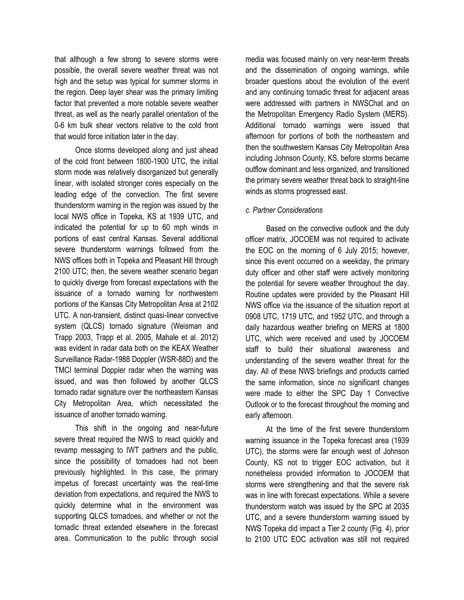that although a few strong to severe storms were possible, the overall severe weather threat was not high and the setup was typical for summer storms in the region. Deep layer shear was the primary limiting factor that prevented a more notable severe weather threat, as well as the nearly parallel orientation of the 0-6 km bulk shear vectors relative to the cold front that would force initiation later in the day.

Once storms developed along and just ahead of the cold front between 1800-1900 UTC, the initial storm mode was relatively disorganized but generally linear, with isolated stronger cores especially on the leading edge of the convection. The first severe thunderstorm warning in the region was issued by the local NWS office in Topeka, KS at 1939 UTC, and indicated the potential for up to 60 mph winds in portions of east central Kansas. Several additional severe thunderstorm warnings followed from the NWS offices both in Topeka and Pleasant Hill through 2100 UTC; then, the severe weather scenario began to quickly diverge from forecast expectations with the issuance of a tornado warning for northwestern portions of the Kansas City Metropolitan Area at 2102 UTC. A non-transient, distinct quasi-linear convective system (QLCS) tornado signature (Weisman and Trapp 2003, Trapp et al. 2005, Mahale et al. 2012) was evident in radar data both on the KEAX Weather Surveillance Radar-1988 Doppler (WSR-88D) and the TMCI terminal Doppler radar when the warning was issued, and was then followed by another QLCS tornado radar signature over the northeastern Kansas City Metropolitan Area, which necessitated the issuance of another tornado warning.

This shift in the ongoing and near-future severe threat required the NWS to react quickly and revamp messaging to IWT partners and the public, since the possibility of tornadoes had not been previously highlighted. In this case, the primary impetus of forecast uncertainty was the real-time deviation from expectations, and required the NWS to quickly determine what in the environment was supporting QLCS tornadoes, and whether or not the tornadic threat extended elsewhere in the forecast area. Communication to the public through social media was focused mainly on very near-term threats and the dissemination of ongoing warnings, while broader questions about the evolution of the event and any continuing tornadic threat for adjacent areas were addressed with partners in NWSChat and on the Metropolitan Emergency Radio System (MERS). Additional tornado warnings were issued that afternoon for portions of both the northeastern and then the southwestern Kansas City Metropolitan Area including Johnson County, KS, before storms became outflow dominant and less organized, and transitioned the primary severe weather threat back to straight-line winds as storms progressed east.

## *c. Partner Considerations*

Based on the convective outlook and the duty officer matrix, JOCOEM was not required to activate the EOC on the morning of 6 July 2015; however, since this event occurred on a weekday, the primary duty officer and other staff were actively monitoring the potential for severe weather throughout the day. Routine updates were provided by the Pleasant Hill NWS office via the issuance of the situation report at 0908 UTC, 1719 UTC, and 1952 UTC, and through a daily hazardous weather briefing on MERS at 1800 UTC, which were received and used by JOCOEM staff to build their situational awareness and understanding of the severe weather threat for the day. All of these NWS briefings and products carried the same information, since no significant changes were made to either the SPC Day 1 Convective Outlook or to the forecast throughout the morning and early afternoon.

At the time of the first severe thunderstorm warning issuance in the Topeka forecast area (1939 UTC), the storms were far enough west of Johnson County, KS not to trigger EOC activation, but it nonetheless provided information to JOCOEM that storms were strengthening and that the severe risk was in line with forecast expectations. While a severe thunderstorm watch was issued by the SPC at 2035 UTC, and a severe thunderstorm warning issued by NWS Topeka did impact a Tier 2 county (Fig. 4), prior to 2100 UTC EOC activation was still not required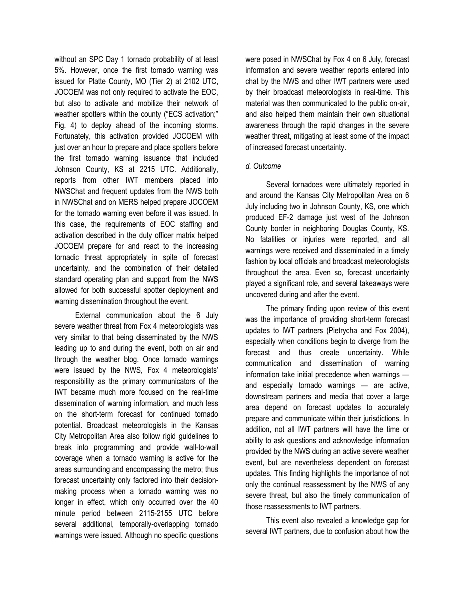without an SPC Day 1 tornado probability of at least 5%. However, once the first tornado warning was issued for Platte County, MO (Tier 2) at 2102 UTC, JOCOEM was not only required to activate the EOC, but also to activate and mobilize their network of weather spotters within the county ("ECS activation;" Fig. 4) to deploy ahead of the incoming storms. Fortunately, this activation provided JOCOEM with just over an hour to prepare and place spotters before the first tornado warning issuance that included Johnson County, KS at 2215 UTC. Additionally, reports from other IWT members placed into NWSChat and frequent updates from the NWS both in NWSChat and on MERS helped prepare JOCOEM for the tornado warning even before it was issued. In this case, the requirements of EOC staffing and activation described in the duty officer matrix helped JOCOEM prepare for and react to the increasing tornadic threat appropriately in spite of forecast uncertainty, and the combination of their detailed standard operating plan and support from the NWS allowed for both successful spotter deployment and warning dissemination throughout the event.

External communication about the 6 July severe weather threat from Fox 4 meteorologists was very similar to that being disseminated by the NWS leading up to and during the event, both on air and through the weather blog. Once tornado warnings were issued by the NWS, Fox 4 meteorologists' responsibility as the primary communicators of the IWT became much more focused on the real-time dissemination of warning information, and much less on the short-term forecast for continued tornado potential. Broadcast meteorologists in the Kansas City Metropolitan Area also follow rigid guidelines to break into programming and provide wall-to-wall coverage when a tornado warning is active for the areas surrounding and encompassing the metro; thus forecast uncertainty only factored into their decisionmaking process when a tornado warning was no longer in effect, which only occurred over the 40 minute period between 2115-2155 UTC before several additional, temporally-overlapping tornado warnings were issued. Although no specific questions

were posed in NWSChat by Fox 4 on 6 July, forecast information and severe weather reports entered into chat by the NWS and other IWT partners were used by their broadcast meteorologists in real-time. This material was then communicated to the public on-air, and also helped them maintain their own situational awareness through the rapid changes in the severe weather threat, mitigating at least some of the impact of increased forecast uncertainty.

# *d. Outcome*

Several tornadoes were ultimately reported in and around the Kansas City Metropolitan Area on 6 July including two in Johnson County, KS, one which produced EF-2 damage just west of the Johnson County border in neighboring Douglas County, KS. No fatalities or injuries were reported, and all warnings were received and disseminated in a timely fashion by local officials and broadcast meteorologists throughout the area. Even so, forecast uncertainty played a significant role, and several takeaways were uncovered during and after the event.

The primary finding upon review of this event was the importance of providing short-term forecast updates to IWT partners (Pietrycha and Fox 2004), especially when conditions begin to diverge from the forecast and thus create uncertainty. While communication and dissemination of warning information take initial precedence when warnings and especially tornado warnings — are active, downstream partners and media that cover a large area depend on forecast updates to accurately prepare and communicate within their jurisdictions. In addition, not all IWT partners will have the time or ability to ask questions and acknowledge information provided by the NWS during an active severe weather event, but are nevertheless dependent on forecast updates. This finding highlights the importance of not only the continual reassessment by the NWS of any severe threat, but also the timely communication of those reassessments to IWT partners.

This event also revealed a knowledge gap for several IWT partners, due to confusion about how the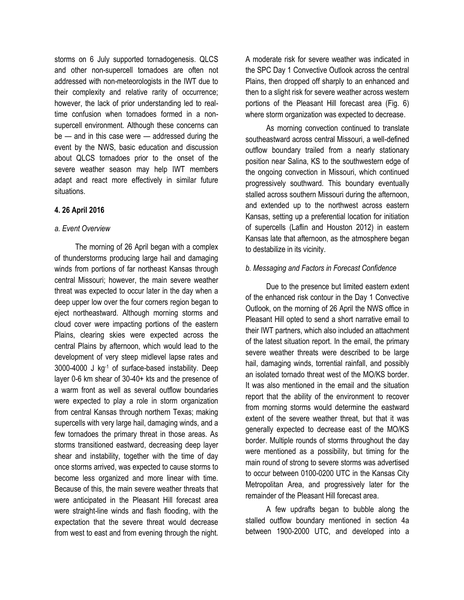storms on 6 July supported tornadogenesis. QLCS and other non-supercell tornadoes are often not addressed with non-meteorologists in the IWT due to their complexity and relative rarity of occurrence; however, the lack of prior understanding led to realtime confusion when tornadoes formed in a nonsupercell environment. Although these concerns can be — and in this case were — addressed during the event by the NWS, basic education and discussion about QLCS tornadoes prior to the onset of the severe weather season may help IWT members adapt and react more effectively in similar future situations.

# **4. 26 April 2016**

#### *a. Event Overview*

The morning of 26 April began with a complex of thunderstorms producing large hail and damaging winds from portions of far northeast Kansas through central Missouri; however, the main severe weather threat was expected to occur later in the day when a deep upper low over the four corners region began to eject northeastward. Although morning storms and cloud cover were impacting portions of the eastern Plains, clearing skies were expected across the central Plains by afternoon, which would lead to the development of very steep midlevel lapse rates and 3000-4000 J kg-1 of surface-based instability. Deep layer 0-6 km shear of 30-40+ kts and the presence of a warm front as well as several outflow boundaries were expected to play a role in storm organization from central Kansas through northern Texas; making supercells with very large hail, damaging winds, and a few tornadoes the primary threat in those areas. As storms transitioned eastward, decreasing deep layer shear and instability, together with the time of day once storms arrived, was expected to cause storms to become less organized and more linear with time. Because of this, the main severe weather threats that were anticipated in the Pleasant Hill forecast area were straight-line winds and flash flooding, with the expectation that the severe threat would decrease from west to east and from evening through the night.

A moderate risk for severe weather was indicated in the SPC Day 1 Convective Outlook across the central Plains, then dropped off sharply to an enhanced and then to a slight risk for severe weather across western portions of the Pleasant Hill forecast area (Fig. 6) where storm organization was expected to decrease.

As morning convection continued to translate southeastward across central Missouri, a well-defined outflow boundary trailed from a nearly stationary position near Salina, KS to the southwestern edge of the ongoing convection in Missouri, which continued progressively southward. This boundary eventually stalled across southern Missouri during the afternoon, and extended up to the northwest across eastern Kansas, setting up a preferential location for initiation of supercells (Laflin and Houston 2012) in eastern Kansas late that afternoon, as the atmosphere began to destabilize in its vicinity.

#### *b. Messaging and Factors in Forecast Confidence*

Due to the presence but limited eastern extent of the enhanced risk contour in the Day 1 Convective Outlook, on the morning of 26 April the NWS office in Pleasant Hill opted to send a short narrative email to their IWT partners, which also included an attachment of the latest situation report. In the email, the primary severe weather threats were described to be large hail, damaging winds, torrential rainfall, and possibly an isolated tornado threat west of the MO/KS border. It was also mentioned in the email and the situation report that the ability of the environment to recover from morning storms would determine the eastward extent of the severe weather threat, but that it was generally expected to decrease east of the MO/KS border. Multiple rounds of storms throughout the day were mentioned as a possibility, but timing for the main round of strong to severe storms was advertised to occur between 0100-0200 UTC in the Kansas City Metropolitan Area, and progressively later for the remainder of the Pleasant Hill forecast area.

A few updrafts began to bubble along the stalled outflow boundary mentioned in section 4a between 1900-2000 UTC, and developed into a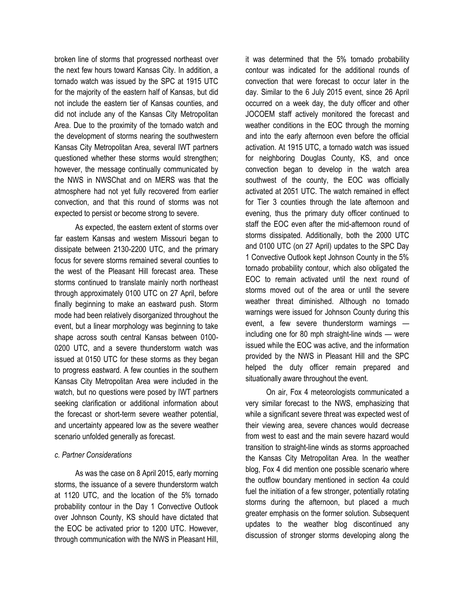broken line of storms that progressed northeast over the next few hours toward Kansas City. In addition, a tornado watch was issued by the SPC at 1915 UTC for the majority of the eastern half of Kansas, but did not include the eastern tier of Kansas counties, and did not include any of the Kansas City Metropolitan Area. Due to the proximity of the tornado watch and the development of storms nearing the southwestern Kansas City Metropolitan Area, several IWT partners questioned whether these storms would strengthen; however, the message continually communicated by the NWS in NWSChat and on MERS was that the atmosphere had not yet fully recovered from earlier convection, and that this round of storms was not expected to persist or become strong to severe.

As expected, the eastern extent of storms over far eastern Kansas and western Missouri began to dissipate between 2130-2200 UTC, and the primary focus for severe storms remained several counties to the west of the Pleasant Hill forecast area. These storms continued to translate mainly north northeast through approximately 0100 UTC on 27 April, before finally beginning to make an eastward push. Storm mode had been relatively disorganized throughout the event, but a linear morphology was beginning to take shape across south central Kansas between 0100- 0200 UTC, and a severe thunderstorm watch was issued at 0150 UTC for these storms as they began to progress eastward. A few counties in the southern Kansas City Metropolitan Area were included in the watch, but no questions were posed by IWT partners seeking clarification or additional information about the forecast or short-term severe weather potential, and uncertainty appeared low as the severe weather scenario unfolded generally as forecast.

#### *c. Partner Considerations*

As was the case on 8 April 2015, early morning storms, the issuance of a severe thunderstorm watch at 1120 UTC, and the location of the 5% tornado probability contour in the Day 1 Convective Outlook over Johnson County, KS should have dictated that the EOC be activated prior to 1200 UTC. However, through communication with the NWS in Pleasant Hill,

it was determined that the 5% tornado probability contour was indicated for the additional rounds of convection that were forecast to occur later in the day. Similar to the 6 July 2015 event, since 26 April occurred on a week day, the duty officer and other JOCOEM staff actively monitored the forecast and weather conditions in the EOC through the morning and into the early afternoon even before the official activation. At 1915 UTC, a tornado watch was issued for neighboring Douglas County, KS, and once convection began to develop in the watch area southwest of the county, the EOC was officially activated at 2051 UTC. The watch remained in effect for Tier 3 counties through the late afternoon and evening, thus the primary duty officer continued to staff the EOC even after the mid-afternoon round of storms dissipated. Additionally, both the 2000 UTC and 0100 UTC (on 27 April) updates to the SPC Day 1 Convective Outlook kept Johnson County in the 5% tornado probability contour, which also obligated the EOC to remain activated until the next round of storms moved out of the area or until the severe weather threat diminished. Although no tornado warnings were issued for Johnson County during this event, a few severe thunderstorm warnings including one for 80 mph straight-line winds — were issued while the EOC was active, and the information provided by the NWS in Pleasant Hill and the SPC helped the duty officer remain prepared and situationally aware throughout the event.

On air, Fox 4 meteorologists communicated a very similar forecast to the NWS, emphasizing that while a significant severe threat was expected west of their viewing area, severe chances would decrease from west to east and the main severe hazard would transition to straight-line winds as storms approached the Kansas City Metropolitan Area. In the weather blog, Fox 4 did mention one possible scenario where the outflow boundary mentioned in section 4a could fuel the initiation of a few stronger, potentially rotating storms during the afternoon, but placed a much greater emphasis on the former solution. Subsequent updates to the weather blog discontinued any discussion of stronger storms developing along the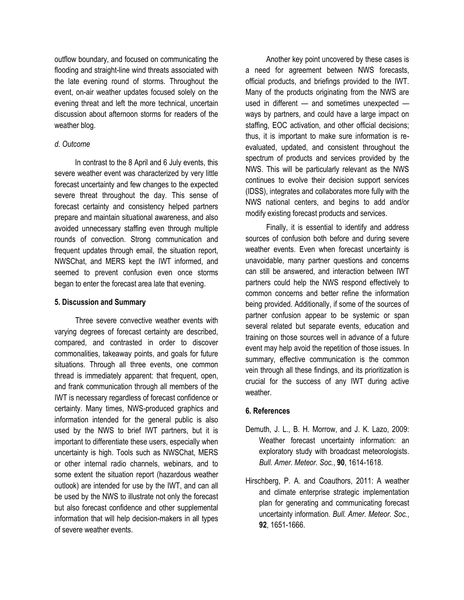outflow boundary, and focused on communicating the flooding and straight-line wind threats associated with the late evening round of storms. Throughout the event, on-air weather updates focused solely on the evening threat and left the more technical, uncertain discussion about afternoon storms for readers of the weather blog.

# *d. Outcome*

In contrast to the 8 April and 6 July events, this severe weather event was characterized by very little forecast uncertainty and few changes to the expected severe threat throughout the day. This sense of forecast certainty and consistency helped partners prepare and maintain situational awareness, and also avoided unnecessary staffing even through multiple rounds of convection. Strong communication and frequent updates through email, the situation report, NWSChat, and MERS kept the IWT informed, and seemed to prevent confusion even once storms began to enter the forecast area late that evening.

# **5. Discussion and Summary**

Three severe convective weather events with varying degrees of forecast certainty are described, compared, and contrasted in order to discover commonalities, takeaway points, and goals for future situations. Through all three events, one common thread is immediately apparent: that frequent, open, and frank communication through all members of the IWT is necessary regardless of forecast confidence or certainty. Many times, NWS-produced graphics and information intended for the general public is also used by the NWS to brief IWT partners, but it is important to differentiate these users, especially when uncertainty is high. Tools such as NWSChat, MERS or other internal radio channels, webinars, and to some extent the situation report (hazardous weather outlook) are intended for use by the IWT, and can all be used by the NWS to illustrate not only the forecast but also forecast confidence and other supplemental information that will help decision-makers in all types of severe weather events.

Another key point uncovered by these cases is a need for agreement between NWS forecasts, official products, and briefings provided to the IWT. Many of the products originating from the NWS are used in different — and sometimes unexpected ways by partners, and could have a large impact on staffing, EOC activation, and other official decisions; thus, it is important to make sure information is reevaluated, updated, and consistent throughout the spectrum of products and services provided by the NWS. This will be particularly relevant as the NWS continues to evolve their decision support services (IDSS), integrates and collaborates more fully with the NWS national centers, and begins to add and/or modify existing forecast products and services.

Finally, it is essential to identify and address sources of confusion both before and during severe weather events. Even when forecast uncertainty is unavoidable, many partner questions and concerns can still be answered, and interaction between IWT partners could help the NWS respond effectively to common concerns and better refine the information being provided. Additionally, if some of the sources of partner confusion appear to be systemic or span several related but separate events, education and training on those sources well in advance of a future event may help avoid the repetition of those issues. In summary, effective communication is the common vein through all these findings, and its prioritization is crucial for the success of any IWT during active weather.

# **6. References**

- Demuth, J. L., B. H. Morrow, and J. K. Lazo, 2009: Weather forecast uncertainty information: an exploratory study with broadcast meteorologists. *Bull. Amer. Meteor. Soc.*, **90**, 1614-1618.
- Hirschberg, P. A. and Coauthors, 2011: A weather and climate enterprise strategic implementation plan for generating and communicating forecast uncertainty information. *Bull. Amer. Meteor. Soc.*, **92**, 1651-1666.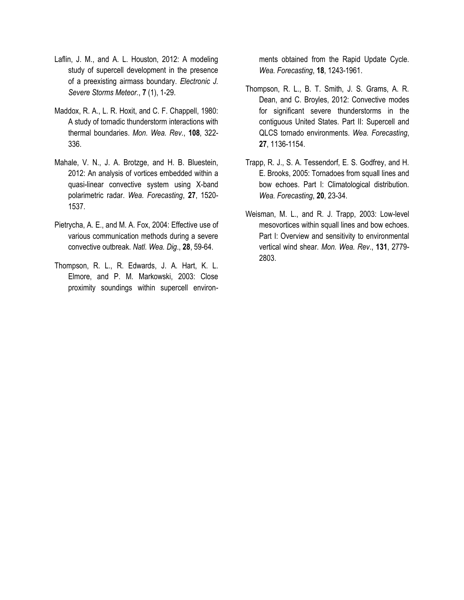- Laflin, J. M., and A. L. Houston, 2012: A modeling study of supercell development in the presence of a preexisting airmass boundary. *Electronic J. Severe Storms Meteor.*, **7** (1), 1-29.
- Maddox, R. A., L. R. Hoxit, and C. F. Chappell, 1980: A study of tornadic thunderstorm interactions with thermal boundaries. *Mon. Wea. Rev.*, **108**, 322- 336.
- Mahale, V. N., J. A. Brotzge, and H. B. Bluestein, 2012: An analysis of vortices embedded within a quasi-linear convective system using X-band polarimetric radar. *Wea. Forecasting*, **27**, 1520- 1537.
- Pietrycha, A. E., and M. A. Fox, 2004: Effective use of various communication methods during a severe convective outbreak. *Natl. Wea. Dig*., **28**, 59-64.
- Thompson, R. L., R. Edwards, J. A. Hart, K. L. Elmore, and P. M. Markowski, 2003: Close proximity soundings within supercell environ-

ments obtained from the Rapid Update Cycle. *Wea. Forecasting*, **18**, 1243-1961.

- Thompson, R. L., B. T. Smith, J. S. Grams, A. R. Dean, and C. Broyles, 2012: Convective modes for significant severe thunderstorms in the contiguous United States. Part II: Supercell and QLCS tornado environments. *Wea. Forecasting*, **27**, 1136-1154.
- Trapp, R. J., S. A. Tessendorf, E. S. Godfrey, and H. E. Brooks, 2005: Tornadoes from squall lines and bow echoes. Part I: Climatological distribution. *Wea. Forecasting*, **20**, 23-34.
- Weisman, M. L., and R. J. Trapp, 2003: Low-level mesovortices within squall lines and bow echoes. Part I: Overview and sensitivity to environmental vertical wind shear. *Mon. Wea. Rev*., **131**, 2779- 2803.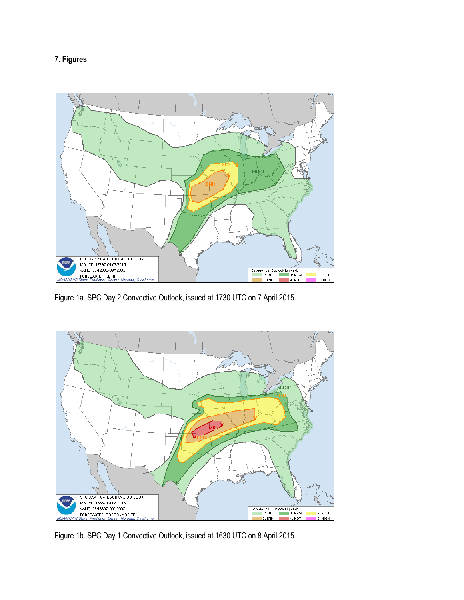# **7. Figures**



Figure 1a. SPC Day 2 Convective Outlook, issued at 1730 UTC on 7 April 2015.



Figure 1b. SPC Day 1 Convective Outlook, issued at 1630 UTC on 8 April 2015.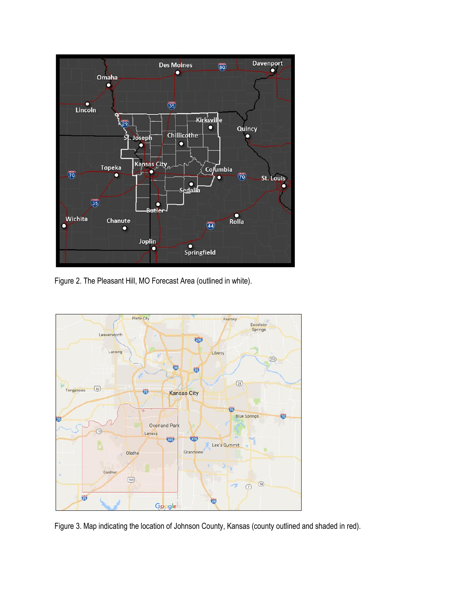

Figure 2. The Pleasant Hill, MO Forecast Area (outlined in white).



Figure 3. Map indicating the location of Johnson County, Kansas (county outlined and shaded in red).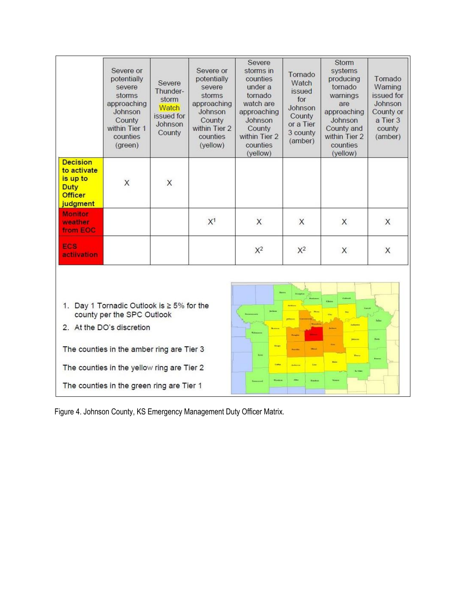|                                                                                                                                                                                                                                                                                                                                                                     | Severe or<br>potentially<br>severe<br>storms<br>approaching<br>Johnson<br>County<br>within Tier 1<br>counties<br>(green) | Severe<br>Thunder-<br>storm<br>Watch<br>issued for<br>Johnson<br>County | Severe or<br>potentially<br>severe<br>storms<br>approaching<br>Johnson<br>County<br>within Tier 2<br>counties<br>(yellow) | Severe<br>storms in<br>counties<br>under a<br>tornado<br>watch are<br>approaching<br>Johnson<br>County<br>within Tier 2<br>counties<br>(yellow) | Tornado<br>Watch<br>issued<br>for<br>Johnson<br>County<br>or a Tier<br>3 county<br>(amber) | <b>Storm</b><br>systems<br>producing<br>tornado<br>warnings<br>are<br>approaching<br>Johnson<br>County and<br>within Tier 2<br>counties<br>(yellow) | Tornado<br>Warning<br>issued for<br>Johnson<br>County or<br>a Tier 3<br>county<br>(amber) |
|---------------------------------------------------------------------------------------------------------------------------------------------------------------------------------------------------------------------------------------------------------------------------------------------------------------------------------------------------------------------|--------------------------------------------------------------------------------------------------------------------------|-------------------------------------------------------------------------|---------------------------------------------------------------------------------------------------------------------------|-------------------------------------------------------------------------------------------------------------------------------------------------|--------------------------------------------------------------------------------------------|-----------------------------------------------------------------------------------------------------------------------------------------------------|-------------------------------------------------------------------------------------------|
| <b>Decision</b><br>to activate<br>is up to<br><b>Duty</b><br><b>Officer</b><br>judgment                                                                                                                                                                                                                                                                             | X                                                                                                                        | X                                                                       |                                                                                                                           |                                                                                                                                                 |                                                                                            |                                                                                                                                                     |                                                                                           |
| <b>Monitor</b><br>weather<br>from EOC                                                                                                                                                                                                                                                                                                                               |                                                                                                                          |                                                                         | X <sup>1</sup>                                                                                                            | X                                                                                                                                               | X                                                                                          | X                                                                                                                                                   | X                                                                                         |
| ECS<br><b>activation</b>                                                                                                                                                                                                                                                                                                                                            |                                                                                                                          |                                                                         |                                                                                                                           | $X^2$                                                                                                                                           | $X^2$                                                                                      | X                                                                                                                                                   | X                                                                                         |
| cami<br>1. Day 1 Tornadic Outlook is ≥ 5% for the<br>county per the SPC Outlook<br>Sibia<br>2. At the DO's discretion<br>passes.<br>h m<br><b>Graph</b><br>The counties in the amber ring are Tier 3<br><b>Barry</b><br>Line.<br>ties<br><b>Callie</b><br>The counties in the yellow ring are Tier 2<br><b>Builder</b><br>The counties in the green ring are Tier 1 |                                                                                                                          |                                                                         |                                                                                                                           |                                                                                                                                                 |                                                                                            |                                                                                                                                                     |                                                                                           |

Figure 4. Johnson County, KS Emergency Management Duty Officer Matrix.